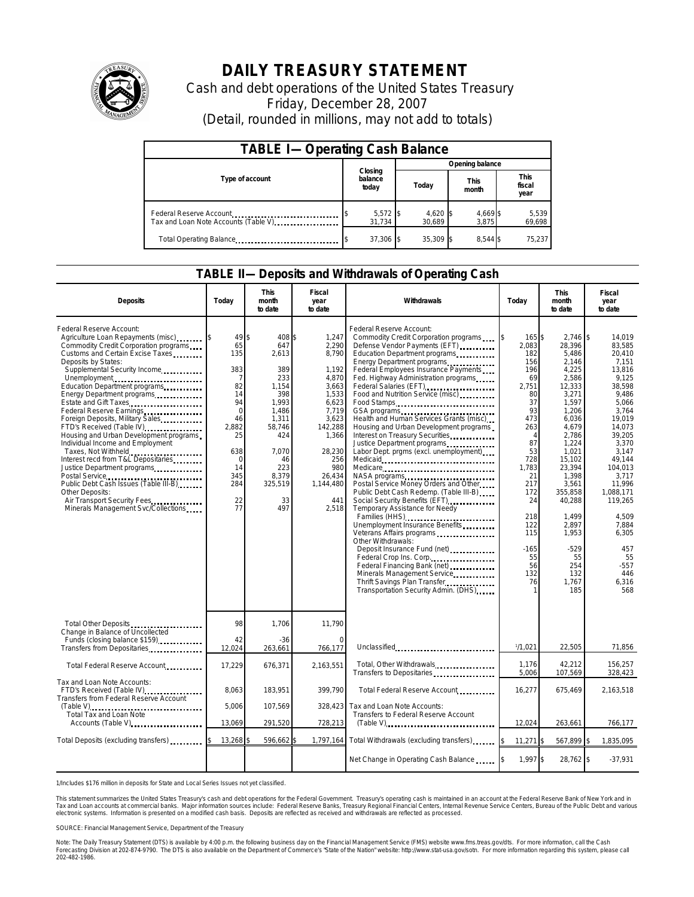

## **DAILY TREASURY STATEMENT**

Cash and debt operations of the United States Treasury Friday, December 28, 2007 (Detail, rounded in millions, may not add to totals)

| <b>TABLE I-Operating Cash Balance</b>                           |                             |  |                               |                   |                               |  |  |  |
|-----------------------------------------------------------------|-----------------------------|--|-------------------------------|-------------------|-------------------------------|--|--|--|
|                                                                 | Closing<br>balance<br>today |  | Opening balance               |                   |                               |  |  |  |
| Type of account                                                 |                             |  | <b>This</b><br>Today<br>month |                   | <b>This</b><br>fiscal<br>year |  |  |  |
| Federal Reserve Account<br>Tax and Loan Note Accounts (Table V) | $5,572$ \$<br>31,734        |  | $4,620$ \$<br>30.689          | 4,669 \$<br>3.875 | 5,539<br>69,698               |  |  |  |
| Total Operating Balance <b>Communication</b>                    | 37,306                      |  | 35.309 \$                     | 8.544 \$          | 75.237                        |  |  |  |

## **TABLE II—Deposits and Withdrawals of Operating Cash**

| <b>Deposits</b>                                                                                                                                                                                                                                                                                                                                                                                                                                                                                                                                                                                                                                                                                                                               | Todav                                                                                                                                   | <b>This</b><br>month<br>to date                                                                                                                               | Fiscal<br>year<br>to date                                                                                                                                                 | Withdrawals                                                                                                                                                                                                                                                                                                                                                                                                                                                                                                                                                                                                                                                                                                                                                                                                                                                                                                                                                                     | Today                                                                                                                                                                                                                          | <b>This</b><br>month<br>to date                                                                                                                                                                                                                                                | Fiscal<br>year<br>to date                                                                                                                                                                                                                                                            |
|-----------------------------------------------------------------------------------------------------------------------------------------------------------------------------------------------------------------------------------------------------------------------------------------------------------------------------------------------------------------------------------------------------------------------------------------------------------------------------------------------------------------------------------------------------------------------------------------------------------------------------------------------------------------------------------------------------------------------------------------------|-----------------------------------------------------------------------------------------------------------------------------------------|---------------------------------------------------------------------------------------------------------------------------------------------------------------|---------------------------------------------------------------------------------------------------------------------------------------------------------------------------|---------------------------------------------------------------------------------------------------------------------------------------------------------------------------------------------------------------------------------------------------------------------------------------------------------------------------------------------------------------------------------------------------------------------------------------------------------------------------------------------------------------------------------------------------------------------------------------------------------------------------------------------------------------------------------------------------------------------------------------------------------------------------------------------------------------------------------------------------------------------------------------------------------------------------------------------------------------------------------|--------------------------------------------------------------------------------------------------------------------------------------------------------------------------------------------------------------------------------|--------------------------------------------------------------------------------------------------------------------------------------------------------------------------------------------------------------------------------------------------------------------------------|--------------------------------------------------------------------------------------------------------------------------------------------------------------------------------------------------------------------------------------------------------------------------------------|
| Federal Reserve Account:<br>Agriculture Loan Repayments (misc)<br>Commodity Credit Corporation programs<br>Customs and Certain Excise Taxes<br>Deposits by States:<br>Supplemental Security Income<br>Unemployment<br>Education Department programs<br>Energy Department programs<br><br>Estate and Gift Taxes<br>Federal Reserve Earnings<br>Foreign Deposits, Military Sales<br>FTD's Received (Table IV)<br>Housing and Urban Development programs<br>Individual Income and Employment<br>Taxes, Not Withheld<br>Interest recd from T&L Depositaries<br>Justice Department programs<br>Postal Service<br>Public Debt Cash Issues (Table III-B),<br>Other Deposits:<br>Air Transport Security Fees.<br>Minerals Management Svc/Collections. | 49<br>65<br>135<br>383<br>7<br>82<br>14<br>94<br>$\mathbf 0$<br>46<br>2.882<br>25<br>638<br>$\mathbf 0$<br>14<br>345<br>284<br>22<br>77 | \$<br>408 \$<br>647<br>2,613<br>389<br>233<br>1,154<br>398<br>1,993<br>1,486<br>1,311<br>58.746<br>424<br>7.070<br>46<br>223<br>8.379<br>325,519<br>33<br>497 | 1.247<br>2,290<br>8.790<br>1,192<br>4,870<br>3,663<br>1,533<br>6.623<br>7,719<br>3,623<br>142,288<br>1,366<br>28,230<br>256<br>980<br>26,434<br>1,144,480<br>441<br>2.518 | Federal Reserve Account:<br>Commodity Credit Corporation programs<br>Defense Vendor Payments (EFT)<br>Education Department programs<br>Energy Department programs<br>Federal Employees Insurance Payments<br>Fed. Highway Administration programs<br>Federal Salaries (EFT)<br>Food and Nutrition Service (misc)<br>Food Stamps<br>GSA programs<br>Health and Human Services Grants (misc)<br>Housing and Urban Development programs<br>Interest on Treasury Securities<br>Labor Dept. prgms (excl. unemployment)<br>Medicare<br>Postal Service Money Orders and Other<br>Public Debt Cash Redemp. (Table III-B)<br>Social Security Benefits (EFT)<br>Temporary Assistance for Needy<br>Unemployment Insurance Benefits<br>Veterans Affairs programs<br>Other Withdrawals:<br>Deposit Insurance Fund (net)<br>Federal Crop Ins. Corp<br>Federal Financing Bank (net)<br><br>Minerals Management Service<br>Thrift Savings Plan Transfer<br>Transportation Security Admin. (DHS) | <sup>\$</sup><br>165 \$<br>2,083<br>182<br>156<br>196<br>69<br>2,751<br>80<br>37<br>93<br>473<br>263<br>$\Delta$<br>87<br>53<br>728<br>1.783<br>21<br>217<br>172<br>24<br>218<br>122<br>115<br>$-165$<br>55<br>56<br>132<br>76 | $2.746$ \$<br>28.396<br>5,486<br>2,146<br>4,225<br>2,586<br>12,333<br>3,271<br>1.597<br>1,206<br>6,036<br>4.679<br>2.786<br>1,224<br>1,021<br>15,102<br>23.394<br>1,398<br>3,561<br>355,858<br>40,288<br>1,499<br>2.897<br>1,953<br>$-529$<br>55<br>254<br>132<br>1.767<br>185 | 14.019<br>83,585<br>20.410<br>7.151<br>13.816<br>9,125<br>38.598<br>9.486<br>5.066<br>3.764<br>19,019<br>14.073<br>39.205<br>3,370<br>3.147<br>49.144<br>104.013<br>3.717<br>11,996<br>1.088.171<br>119.265<br>4,509<br>7.884<br>6,305<br>457<br>55<br>$-557$<br>446<br>6,316<br>568 |
| Total Other Deposits<br>Change in Balance of Uncollected<br>Funds (closing balance \$159)                                                                                                                                                                                                                                                                                                                                                                                                                                                                                                                                                                                                                                                     | 98<br>42                                                                                                                                | 1,706<br>$-36$                                                                                                                                                | 11,790<br>O                                                                                                                                                               |                                                                                                                                                                                                                                                                                                                                                                                                                                                                                                                                                                                                                                                                                                                                                                                                                                                                                                                                                                                 |                                                                                                                                                                                                                                |                                                                                                                                                                                                                                                                                |                                                                                                                                                                                                                                                                                      |
| Transfers from Depositaries                                                                                                                                                                                                                                                                                                                                                                                                                                                                                                                                                                                                                                                                                                                   | 12,024                                                                                                                                  | 263,661                                                                                                                                                       | 766,177                                                                                                                                                                   | Unclassified                                                                                                                                                                                                                                                                                                                                                                                                                                                                                                                                                                                                                                                                                                                                                                                                                                                                                                                                                                    | 1/1.021                                                                                                                                                                                                                        | 22.505                                                                                                                                                                                                                                                                         | 71,856                                                                                                                                                                                                                                                                               |
| Total Federal Reserve Account                                                                                                                                                                                                                                                                                                                                                                                                                                                                                                                                                                                                                                                                                                                 | 17,229                                                                                                                                  | 676,371                                                                                                                                                       | 2,163,551                                                                                                                                                                 | Total, Other Withdrawals<br>Transfers to Depositaries                                                                                                                                                                                                                                                                                                                                                                                                                                                                                                                                                                                                                                                                                                                                                                                                                                                                                                                           | 1.176<br>5,006                                                                                                                                                                                                                 | 42,212<br>107,569                                                                                                                                                                                                                                                              | 156,257<br>328,423                                                                                                                                                                                                                                                                   |
| Tax and Loan Note Accounts:<br>FTD's Received (Table IV)<br>Transfers from Federal Reserve Account                                                                                                                                                                                                                                                                                                                                                                                                                                                                                                                                                                                                                                            | 8,063                                                                                                                                   | 183,951                                                                                                                                                       | 399,790                                                                                                                                                                   | Total Federal Reserve Account                                                                                                                                                                                                                                                                                                                                                                                                                                                                                                                                                                                                                                                                                                                                                                                                                                                                                                                                                   | 16,277                                                                                                                                                                                                                         | 675,469                                                                                                                                                                                                                                                                        | 2,163,518                                                                                                                                                                                                                                                                            |
| (Table V)<br>Total Tax and Loan Note                                                                                                                                                                                                                                                                                                                                                                                                                                                                                                                                                                                                                                                                                                          | 5.006                                                                                                                                   | 107,569                                                                                                                                                       | 328,423                                                                                                                                                                   | Tax and Loan Note Accounts:<br>Transfers to Federal Reserve Account                                                                                                                                                                                                                                                                                                                                                                                                                                                                                                                                                                                                                                                                                                                                                                                                                                                                                                             |                                                                                                                                                                                                                                |                                                                                                                                                                                                                                                                                |                                                                                                                                                                                                                                                                                      |
| Accounts (Table V)                                                                                                                                                                                                                                                                                                                                                                                                                                                                                                                                                                                                                                                                                                                            | 13,069                                                                                                                                  | 291,520                                                                                                                                                       | 728,213                                                                                                                                                                   | $(Table V)$                                                                                                                                                                                                                                                                                                                                                                                                                                                                                                                                                                                                                                                                                                                                                                                                                                                                                                                                                                     | 12,024                                                                                                                                                                                                                         | 263,661                                                                                                                                                                                                                                                                        | 766,177                                                                                                                                                                                                                                                                              |
| Total Deposits (excluding transfers) [1000]                                                                                                                                                                                                                                                                                                                                                                                                                                                                                                                                                                                                                                                                                                   | 13,268                                                                                                                                  | 596,662                                                                                                                                                       |                                                                                                                                                                           | 1,797,164 Total Withdrawals (excluding transfers)                                                                                                                                                                                                                                                                                                                                                                                                                                                                                                                                                                                                                                                                                                                                                                                                                                                                                                                               | $11,271$ \$<br>I\$                                                                                                                                                                                                             | 567,899                                                                                                                                                                                                                                                                        | 1,835,095<br>Ŝ                                                                                                                                                                                                                                                                       |
|                                                                                                                                                                                                                                                                                                                                                                                                                                                                                                                                                                                                                                                                                                                                               |                                                                                                                                         |                                                                                                                                                               |                                                                                                                                                                           | Net Change in Operating Cash Balance                                                                                                                                                                                                                                                                                                                                                                                                                                                                                                                                                                                                                                                                                                                                                                                                                                                                                                                                            | 1,997 \$                                                                                                                                                                                                                       | 28,762 \$                                                                                                                                                                                                                                                                      | $-37,931$                                                                                                                                                                                                                                                                            |

1/Includes \$176 million in deposits for State and Local Series Issues not yet classified.

This statement summarizes the United States Treasury's cash and debt operations for the Federal Government. Treasury's operating cash is maintained in an account at the Federal Reserve Bank of New York and in<br>Tax and Loan

SOURCE: Financial Management Service, Department of the Treasury

Note: The Daily Treasury Statement (DTS) is available by 4:00 p.m. the following business day on the Financial Management Service (FMS) website www.fms.treas.gov/dts. For more information, call the Cash<br>Forecasting Divisio 202-482-1986.